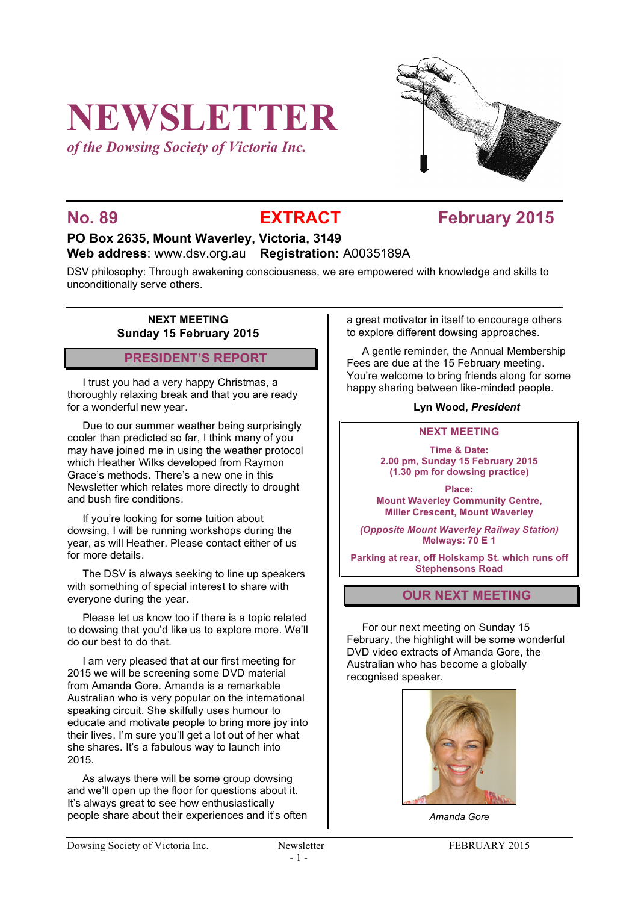# **NEWSLETTER**

*of the Dowsing Society of Victoria Inc.*



## **No. 89 EXTRACT EXTRACT February 2015**

#### **PO Box 2635, Mount Waverley, Victoria, 3149 Web address**: www.dsv.org.au **Registration:** A0035189A

DSV philosophy: Through awakening consciousness, we are empowered with knowledge and skills to unconditionally serve others.

#### **NEXT MEETING Sunday 15 February 2015**

### **PRESIDENT'S REPORT**

I trust you had a very happy Christmas, a thoroughly relaxing break and that you are ready for a wonderful new year.

Due to our summer weather being surprisingly cooler than predicted so far, I think many of you may have joined me in using the weather protocol which Heather Wilks developed from Raymon Grace's methods. There's a new one in this Newsletter which relates more directly to drought and bush fire conditions.

If you're looking for some tuition about dowsing, I will be running workshops during the year, as will Heather. Please contact either of us for more details.

The DSV is always seeking to line up speakers with something of special interest to share with everyone during the year.

Please let us know too if there is a topic related to dowsing that you'd like us to explore more. We'll do our best to do that.

I am very pleased that at our first meeting for 2015 we will be screening some DVD material from Amanda Gore. Amanda is a remarkable Australian who is very popular on the international speaking circuit. She skilfully uses humour to educate and motivate people to bring more joy into their lives. I'm sure you'll get a lot out of her what she shares. It's a fabulous way to launch into 2015.

As always there will be some group dowsing and we'll open up the floor for questions about it. It's always great to see how enthusiastically people share about their experiences and it's often a great motivator in itself to encourage others to explore different dowsing approaches.

A gentle reminder, the Annual Membership Fees are due at the 15 February meeting. You're welcome to bring friends along for some happy sharing between like-minded people.

#### **Lyn Wood,** *President*

#### **NEXT MEETING**

**Time & Date: 2.00 pm, Sunday 15 February 2015 (1.30 pm for dowsing practice)**

**Place: Mount Waverley Community Centre, Miller Crescent, Mount Waverley**

*(Opposite Mount Waverley Railway Station)* **Melways: 70 E 1**

**Parking at rear, off Holskamp St. which runs off Stephensons Road**

### **OUR NEXT MEETING**

For our next meeting on Sunday 15 February, the highlight will be some wonderful DVD video extracts of Amanda Gore, the Australian who has become a globally recognised speaker.



*Amanda Gore*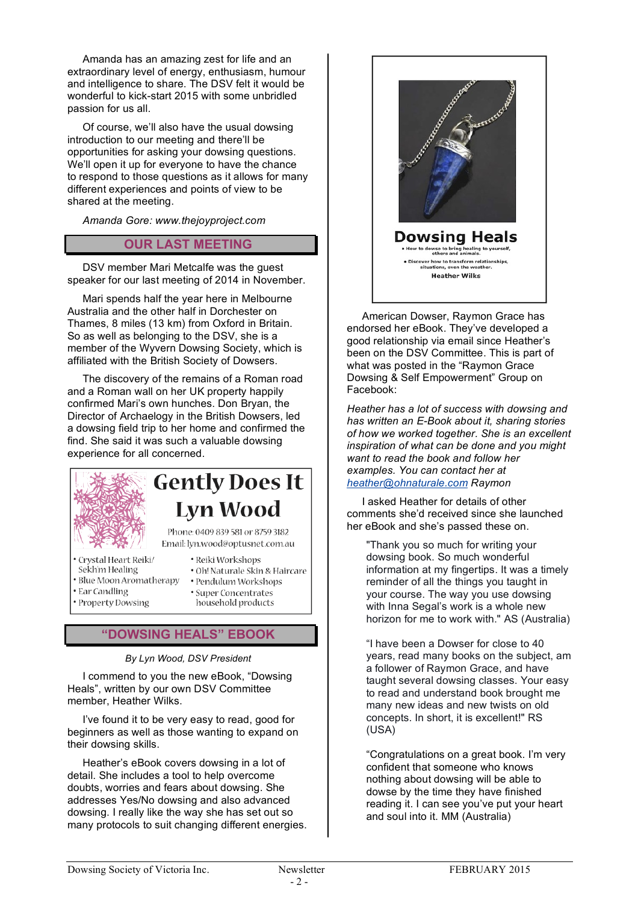Amanda has an amazing zest for life and an extraordinary level of energy, enthusiasm, humour and intelligence to share. The DSV felt it would be wonderful to kick-start 2015 with some unbridled passion for us all.

Of course, we'll also have the usual dowsing introduction to our meeting and there'll be opportunities for asking your dowsing questions. We'll open it up for everyone to have the chance to respond to those questions as it allows for many different experiences and points of view to be shared at the meeting.

*Amanda Gore: www.thejoyproject.com*

#### **OUR LAST MEETING**

DSV member Mari Metcalfe was the guest speaker for our last meeting of 2014 in November.

Mari spends half the year here in Melbourne Australia and the other half in Dorchester on Thames, 8 miles (13 km) from Oxford in Britain. So as well as belonging to the DSV, she is a member of the Wyvern Dowsing Society, which is affiliated with the British Society of Dowsers.

The discovery of the remains of a Roman road and a Roman wall on her UK property happily confirmed Mari's own hunches. Don Bryan, the Director of Archaelogy in the British Dowsers, led a dowsing field trip to her home and confirmed the find. She said it was such a valuable dowsing experience for all concerned.

# **Gently Does It Lyn Wood**

Phone: 0409 839 581 or 8759 3182 Email: lyn.wood@optusnet.com.au

· Reiki Workshops

· Pendulum Workshops

· Oh! Naturale Skin & Haircare

- · Crystal Heart Reiki/
- Sekh'm Healing
- · Blue Moon Aromatherapy
- Ear Candling · Property Dowsing
- · Super Concentrates household products

### **"DOWSING HEALS" EBOOK**

*By Lyn Wood, DSV President*

I commend to you the new eBook, "Dowsing Heals", written by our own DSV Committee member, Heather Wilks.

I've found it to be very easy to read, good for beginners as well as those wanting to expand on their dowsing skills.

Heather's eBook covers dowsing in a lot of detail. She includes a tool to help overcome doubts, worries and fears about dowsing. She addresses Yes/No dowsing and also advanced dowsing. I really like the way she has set out so many protocols to suit changing different energies.



American Dowser, Raymon Grace has endorsed her eBook. They've developed a good relationship via email since Heather's been on the DSV Committee. This is part of what was posted in the "Raymon Grace Dowsing & Self Empowerment" Group on Facebook:

*Heather has a lot of success with dowsing and has written an E-Book about it, sharing stories of how we worked together. She is an excellent inspiration of what can be done and you might want to read the book and follow her examples. You can contact her at heather@ohnaturale.com Raymon*

I asked Heather for details of other comments she'd received since she launched her eBook and she's passed these on.

"Thank you so much for writing your dowsing book. So much wonderful information at my fingertips. It was a timely reminder of all the things you taught in your course. The way you use dowsing with Inna Segal's work is a whole new horizon for me to work with." AS (Australia)

"I have been a Dowser for close to 40 years, read many books on the subject, am a follower of Raymon Grace, and have taught several dowsing classes. Your easy to read and understand book brought me many new ideas and new twists on old concepts. In short, it is excellent!" RS (USA)

"Congratulations on a great book. I'm very confident that someone who knows nothing about dowsing will be able to dowse by the time they have finished reading it. I can see you've put your heart and soul into it. MM (Australia)